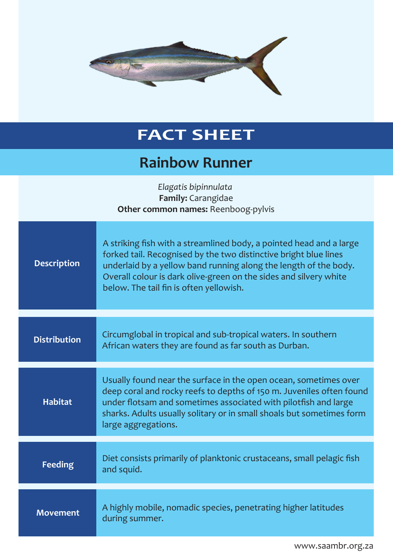

## **FACT SHEET**

## **Rainbow Runner**

| Elagatis bipinnulata<br>Family: Carangidae<br>Other common names: Reenboog-pylvis |                                                                                                                                                                                                                                                                                                                             |
|-----------------------------------------------------------------------------------|-----------------------------------------------------------------------------------------------------------------------------------------------------------------------------------------------------------------------------------------------------------------------------------------------------------------------------|
| <b>Description</b>                                                                | A striking fish with a streamlined body, a pointed head and a large<br>forked tail. Recognised by the two distinctive bright blue lines<br>underlaid by a yellow band running along the length of the body.<br>Overall colour is dark olive-green on the sides and silvery white<br>below. The tail fin is often yellowish. |
| <b>Distribution</b>                                                               | Circumglobal in tropical and sub-tropical waters. In southern<br>African waters they are found as far south as Durban.                                                                                                                                                                                                      |
| <b>Habitat</b>                                                                    | Usually found near the surface in the open ocean, sometimes over<br>deep coral and rocky reefs to depths of 150 m. Juveniles often found<br>under flotsam and sometimes associated with pilotfish and large<br>sharks. Adults usually solitary or in small shoals but sometimes form<br>large aggregations.                 |
| <b>Feeding</b>                                                                    | Diet consists primarily of planktonic crustaceans, small pelagic fish<br>and squid.                                                                                                                                                                                                                                         |
| <b>Movement</b>                                                                   | A highly mobile, nomadic species, penetrating higher latitudes<br>during summer.                                                                                                                                                                                                                                            |

www.saambr.org.za